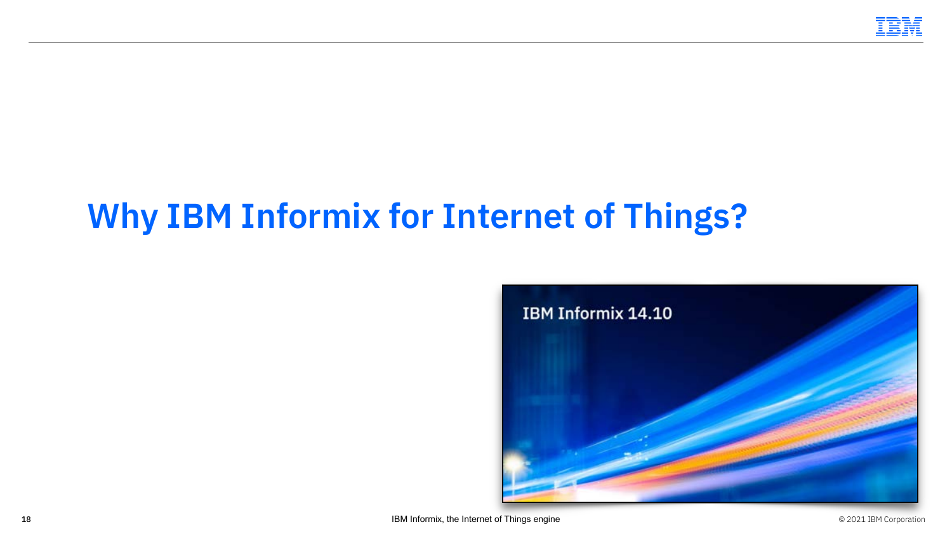

# **Why IBM Informix for Internet of Things?**

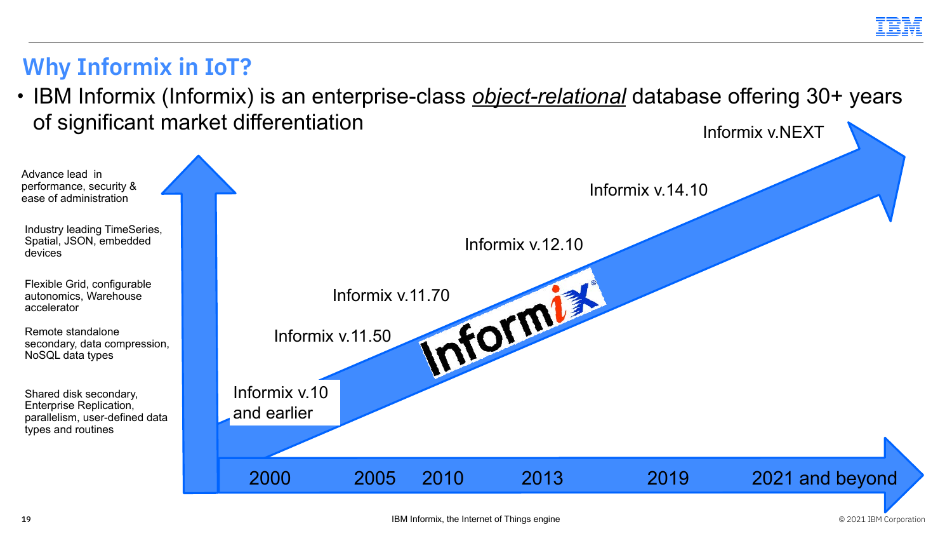Advance lead in performance, security & ease of administration

Industry leading TimeSeries, Spatial, JSON, embedded devices

**Why Informix in IoT?**

Flexible Grid, configurable autonomics, Warehouse accelerator

Remote standalone secondary, data compression, NoSQL data types

Shared disk secondary, Enterprise Replication, parallelism, user-defined data types and routines



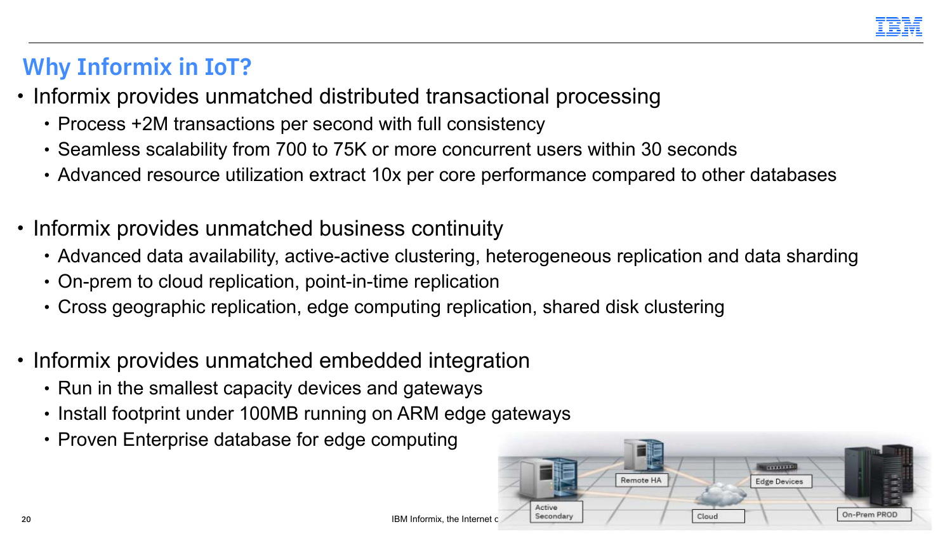

### **Why Informix in IoT?**

- Informix provides unmatched distributed transactional processing
	- Process +2M transactions per second with full consistency
	- Seamless scalability from 700 to 75K or more concurrent users within 30 seconds
	- Advanced resource utilization extract 10x per core performance compared to other databases
- Informix provides unmatched business continuity
	- Advanced data availability, active-active clustering, heterogeneous replication and data sharding
	- On-prem to cloud replication, point-in-time replication
	- Cross geographic replication, edge computing replication, shared disk clustering
- Informix provides unmatched embedded integration
	- Run in the smallest capacity devices and gateways
	- Install footprint under 100MB running on ARM edge gateways
	- Proven Enterprise database for edge computing